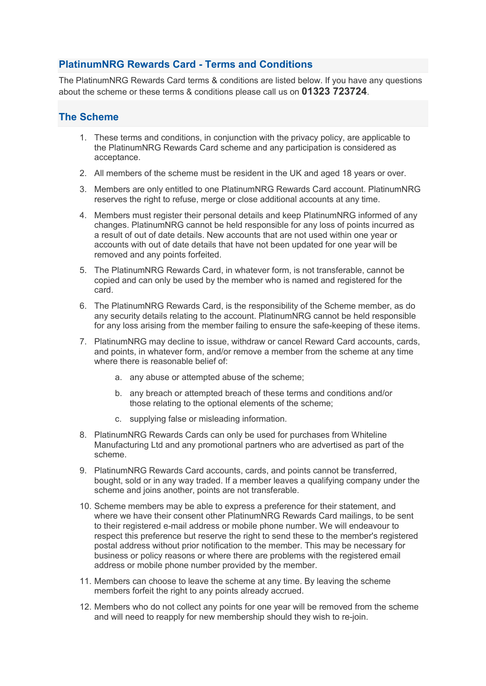## **PlatinumNRG Rewards Card - Terms and Conditions**

The PlatinumNRG Rewards Card terms & conditions are listed below. If you have any questions about the scheme or these terms & conditions please call us on **01323 723724**.

## **The Scheme**

- 1. These terms and conditions, in conjunction with the privacy policy, are applicable to the PlatinumNRG Rewards Card scheme and any participation is considered as acceptance.
- 2. All members of the scheme must be resident in the UK and aged 18 years or over.
- 3. Members are only entitled to one PlatinumNRG Rewards Card account. PlatinumNRG reserves the right to refuse, merge or close additional accounts at any time.
- 4. Members must register their personal details and keep PlatinumNRG informed of any changes. PlatinumNRG cannot be held responsible for any loss of points incurred as a result of out of date details. New accounts that are not used within one year or accounts with out of date details that have not been updated for one year will be removed and any points forfeited.
- 5. The PlatinumNRG Rewards Card, in whatever form, is not transferable, cannot be copied and can only be used by the member who is named and registered for the card.
- 6. The PlatinumNRG Rewards Card, is the responsibility of the Scheme member, as do any security details relating to the account. PlatinumNRG cannot be held responsible for any loss arising from the member failing to ensure the safe-keeping of these items.
- 7. PlatinumNRG may decline to issue, withdraw or cancel Reward Card accounts, cards, and points, in whatever form, and/or remove a member from the scheme at any time where there is reasonable belief of:
	- a. any abuse or attempted abuse of the scheme;
	- b. any breach or attempted breach of these terms and conditions and/or those relating to the optional elements of the scheme;
	- c. supplying false or misleading information.
- 8. PlatinumNRG Rewards Cards can only be used for purchases from Whiteline Manufacturing Ltd and any promotional partners who are advertised as part of the scheme.
- 9. PlatinumNRG Rewards Card accounts, cards, and points cannot be transferred, bought, sold or in any way traded. If a member leaves a qualifying company under the scheme and joins another, points are not transferable.
- 10. Scheme members may be able to express a preference for their statement, and where we have their consent other PlatinumNRG Rewards Card mailings, to be sent to their registered e-mail address or mobile phone number. We will endeavour to respect this preference but reserve the right to send these to the member's registered postal address without prior notification to the member. This may be necessary for business or policy reasons or where there are problems with the registered email address or mobile phone number provided by the member.
- 11. Members can choose to leave the scheme at any time. By leaving the scheme members forfeit the right to any points already accrued.
- 12. Members who do not collect any points for one year will be removed from the scheme and will need to reapply for new membership should they wish to re-join.